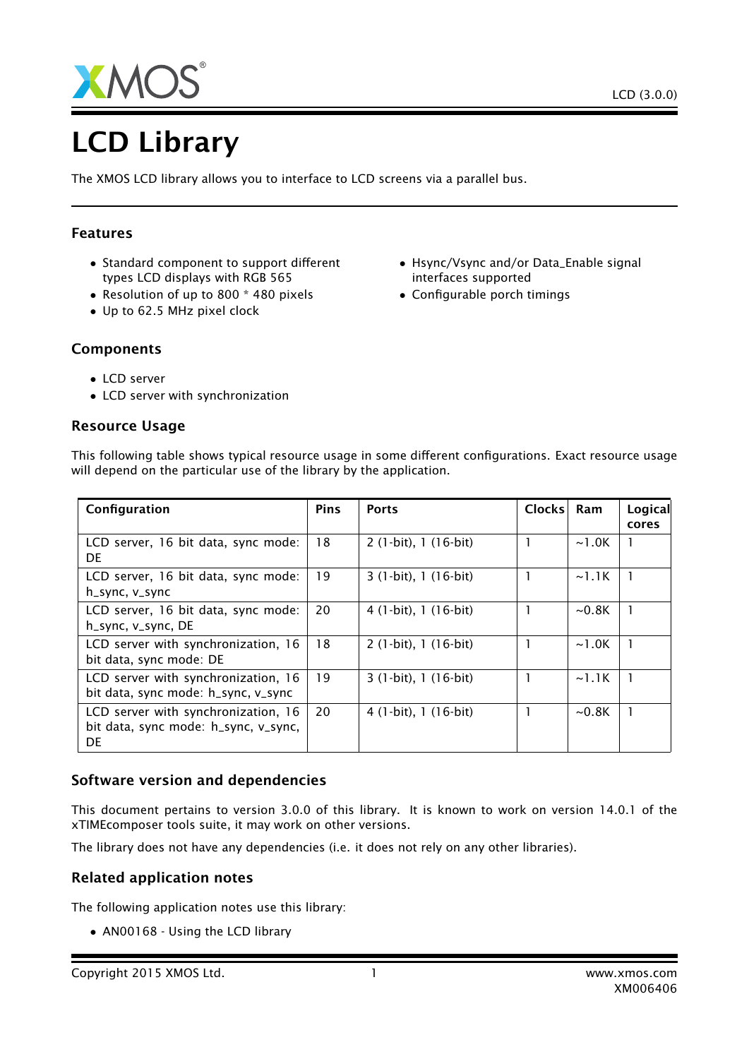

# LCD Library

The XMOS LCD library allows you to interface to LCD screens via a parallel bus.

## Features

- Standard component to support different types LCD displays with RGB 565
- Resolution of up to 800 \* 480 pixels
- Up to 62.5 MHz pixel clock
- Hsync/Vsync and/or Data\_Enable signal interfaces supported
- Configurable porch timings

- Components
	- LCD server
	- LCD server with synchronization

## Resource Usage

| Configuration                                                                     | <b>Pins</b> | <b>Ports</b>          | Clocks | Ram         | Logical<br>cores |
|-----------------------------------------------------------------------------------|-------------|-----------------------|--------|-------------|------------------|
| LCD server, 16 bit data, sync mode:<br><b>DE</b>                                  | 18          | 2 (1-bit), 1 (16-bit) |        | ~1.0K       |                  |
| LCD server, 16 bit data, sync mode:<br>h_sync, v_sync                             | 19          | 3 (1-bit), 1 (16-bit) |        | $\sim$ 1.1K |                  |
| LCD server, 16 bit data, sync mode:<br>h_sync, v_sync, DE                         | 20          | 4 (1-bit), 1 (16-bit) |        | $\sim$ 0.8K |                  |
| LCD server with synchronization, 16<br>bit data, sync mode: DE                    | 18          | $2(1-bit), 1(16-bit)$ |        | $\sim$ 1.0K |                  |
| LCD server with synchronization, 16<br>bit data, sync mode: h_sync, v_sync        | 19          | 3 (1-bit), 1 (16-bit) |        | $\sim$ 1.1K |                  |
| LCD server with synchronization, 16<br>bit data, sync mode: h_sync, v_sync,<br>DE | 20          | 4 (1-bit), 1 (16-bit) |        | $\sim$ 0.8K |                  |

This following table shows typical resource usage in some different configurations. Exact resource usage will depend on the particular use of the library by the application.

## Software version and dependencies

This document pertains to version 3.0.0 of this library. It is known to work on version 14.0.1 of the xTIMEcomposer tools suite, it may work on other versions.

The library does not have any dependencies (i.e. it does not rely on any other libraries).

## Related application notes

The following application notes use this library:

• AN00168 - Using the LCD library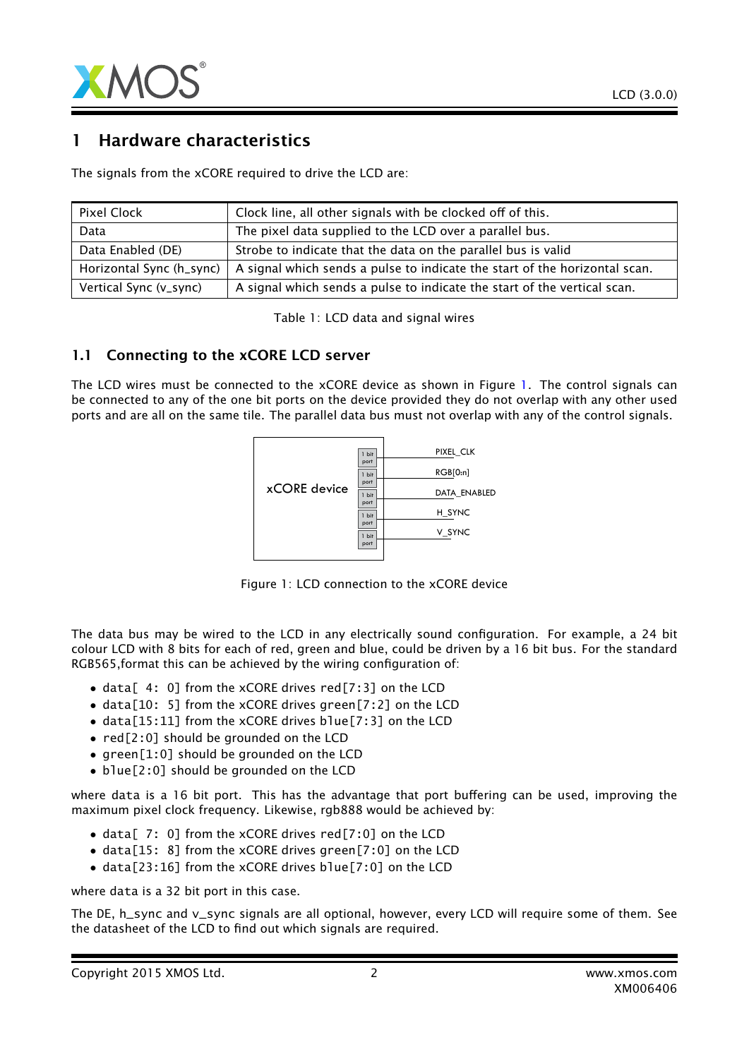

## 1 Hardware characteristics

The signals from the xCORE required to drive the LCD are:

| Pixel Clock              | Clock line, all other signals with be clocked off of this.                 |
|--------------------------|----------------------------------------------------------------------------|
| Data                     | The pixel data supplied to the LCD over a parallel bus.                    |
| Data Enabled (DE)        | Strobe to indicate that the data on the parallel bus is valid              |
| Horizontal Sync (h_sync) | A signal which sends a pulse to indicate the start of the horizontal scan. |
| Vertical Sync (v_sync)   | A signal which sends a pulse to indicate the start of the vertical scan.   |

Table 1: LCD data and signal wires

#### 1.1 Connecting to the xCORE LCD server

The LCD wires must be connected to the xCORE device as shown in Figure [1.](#page-1-0) The control signals can be connected to any of the one bit ports on the device provided they do not overlap with any other used ports and are all on the same tile. The parallel data bus must not overlap with any of the control signals.



<span id="page-1-0"></span>Figure 1: LCD connection to the xCORE device

The data bus may be wired to the LCD in any electrically sound configuration. For example, a 24 bit colour LCD with 8 bits for each of red, green and blue, could be driven by a 16 bit bus. For the standard RGB565,format this can be achieved by the wiring configuration of:

- data [4: 0] from the xCORE drives red [7:3] on the LCD
- data[10: 5] from the xCORE drives green[7:2] on the LCD
- data[15:11] from the xCORE drives blue[7:3] on the LCD
- red[2:0] should be grounded on the LCD
- green[1:0] should be grounded on the LCD
- blue[2:0] should be grounded on the LCD

where data is a 16 bit port. This has the advantage that port buffering can be used, improving the maximum pixel clock frequency. Likewise, rgb888 would be achieved by:

- data[ 7: 0] from the xCORE drives red[7:0] on the LCD
- data[15: 8] from the xCORE drives green[7:0] on the LCD
- data[23:16] from the xCORE drives blue[7:0] on the LCD

where data is a 32 bit port in this case.

The DE, h\_sync and v\_sync signals are all optional, however, every LCD will require some of them. See the datasheet of the LCD to find out which signals are required.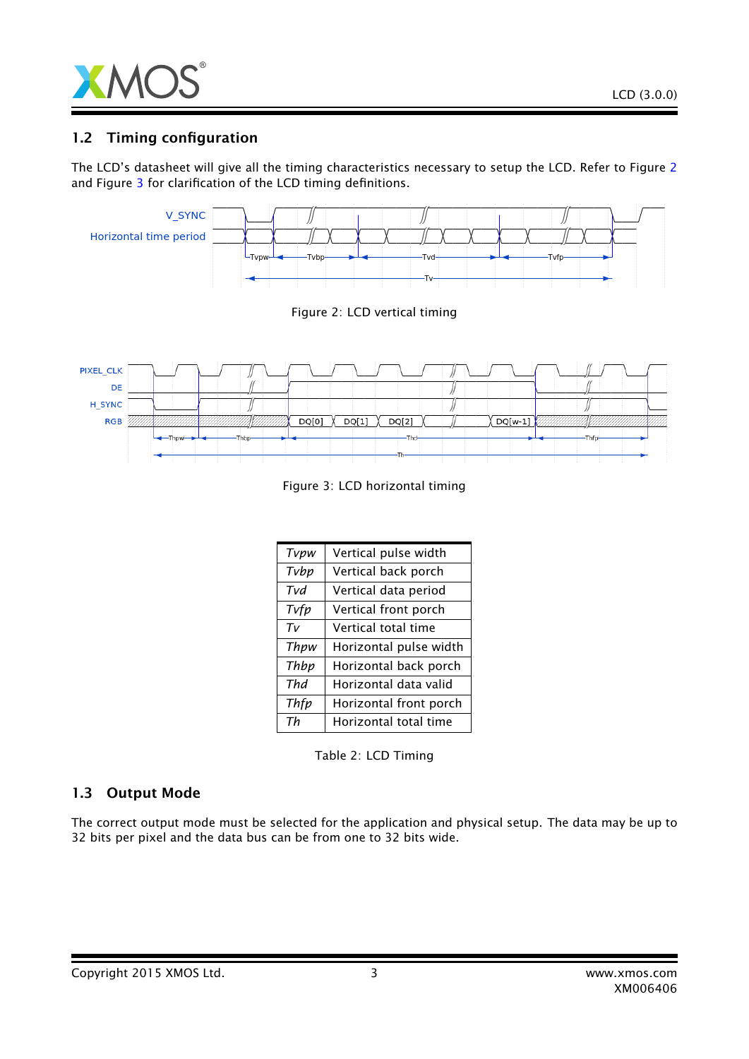

## 1.2 Timing configuration

The LCD's datasheet will give all the timing characteristics necessary to setup the LCD. Refer to Figure [2](#page-2-0) and Figure [3](#page-2-1) for clarification of the LCD timing definitions.



<span id="page-2-1"></span><span id="page-2-0"></span>Figure 3: LCD horizontal timing

| Tvpw  | Vertical pulse width   |
|-------|------------------------|
| Tvbp  | Vertical back porch    |
| Tvd   | Vertical data period   |
| Tvfp  | Vertical front porch   |
| $T_V$ | Vertical total time    |
| Thpw  | Horizontal pulse width |
| Thbp  | Horizontal back porch  |
| Thd   | Horizontal data valid  |
| Thfp  | Horizontal front porch |
| Th    | Horizontal total time  |

Table 2: LCD Timing

## 1.3 Output Mode

The correct output mode must be selected for the application and physical setup. The data may be up to 32 bits per pixel and the data bus can be from one to 32 bits wide.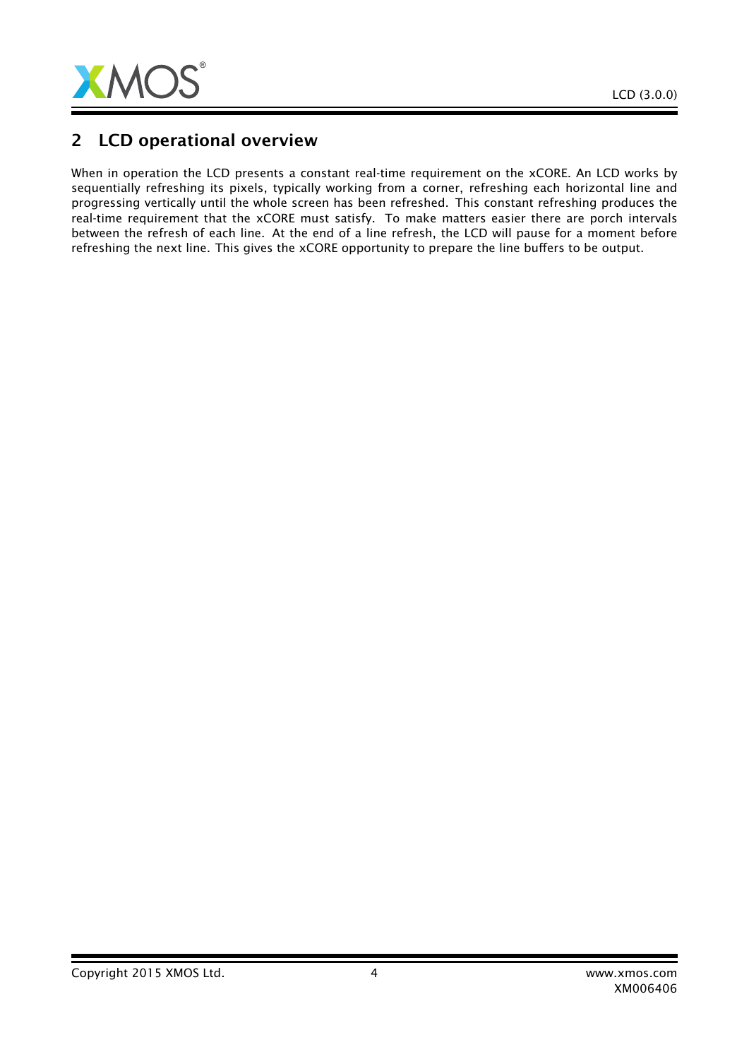

# 2 LCD operational overview

When in operation the LCD presents a constant real-time requirement on the xCORE. An LCD works by sequentially refreshing its pixels, typically working from a corner, refreshing each horizontal line and progressing vertically until the whole screen has been refreshed. This constant refreshing produces the real-time requirement that the xCORE must satisfy. To make matters easier there are porch intervals between the refresh of each line. At the end of a line refresh, the LCD will pause for a moment before refreshing the next line. This gives the xCORE opportunity to prepare the line buffers to be output.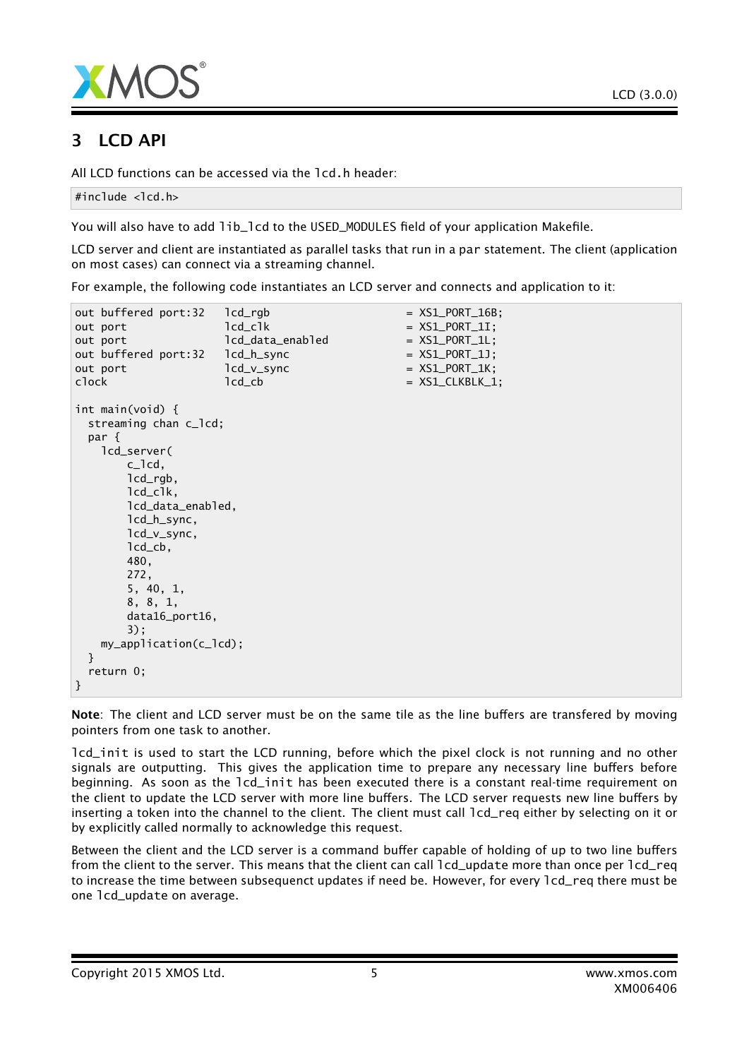

# 3 LCD API

All LCD functions can be accessed via the lcd.h header:

```
#include <lcd.h>
```
You will also have to add lib\_lcd to the USED\_MODULES field of your application Makefile.

LCD server and client are instantiated as parallel tasks that run in a par statement. The client (application on most cases) can connect via a streaming channel.

For example, the following code instantiates an LCD server and connects and application to it:

```
out buffered port:32 lcd\_rqb = XSL_PORT_16B;out port led led led led led led end end con XSL_PORT_1I;out port led led led led H = XSL-PORT_1L;out buffered port:32    lcd_h_sync = XS1_PORT_1J;
out port led_v_sync = XS1_PORT_1K;
\text{clock} \text{1cd\_cb} \text{= } XSL\_CLKBLK\_1;int main(void) {
 streaming chan c_lcd;
 par {
   lcd_server(
      c_lcd,
      lcd_rgb,
      lcd_clk,
      lcd_data_enabled,
      lcd_h_sync,
      lcd_v_sync,
      lcd_cb,
      480,
      272,
      5, 40, 1,
      8, 8, 1,
      data16_port16,
      3);
   my_application(c_lcd);
 }
 return 0;
}
```
Note: The client and LCD server must be on the same tile as the line buffers are transfered by moving pointers from one task to another.

lcd\_init is used to start the LCD running, before which the pixel clock is not running and no other signals are outputting. This gives the application time to prepare any necessary line buffers before beginning. As soon as the lcd\_init has been executed there is a constant real-time requirement on the client to update the LCD server with more line buffers. The LCD server requests new line buffers by inserting a token into the channel to the client. The client must call lcd\_req either by selecting on it or by explicitly called normally to acknowledge this request.

Between the client and the LCD server is a command buffer capable of holding of up to two line buffers from the client to the server. This means that the client can call 1cd update more than once per 1cd req to increase the time between subsequenct updates if need be. However, for every  $1cd$ -req there must be one lcd\_update on average.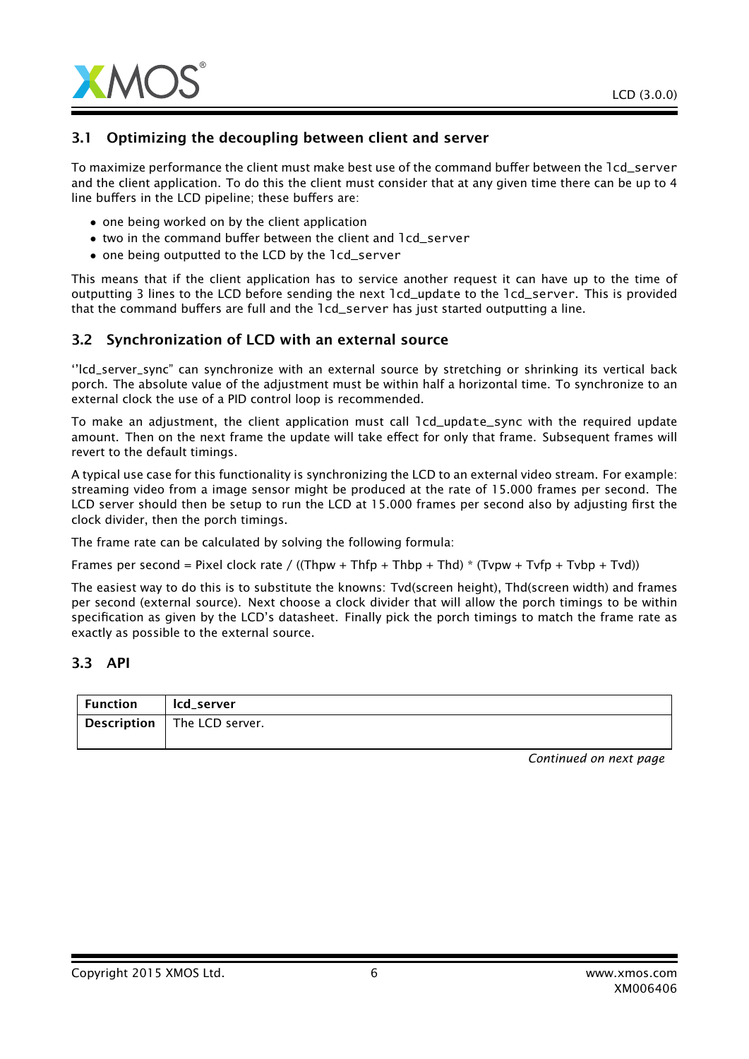

## 3.1 Optimizing the decoupling between client and server

To maximize performance the client must make best use of the command buffer between the lcd\_server and the client application. To do this the client must consider that at any given time there can be up to 4 line buffers in the LCD pipeline; these buffers are:

- one being worked on by the client application
- two in the command buffer between the client and lcd\_server
- one being outputted to the LCD by the lcd\_server

This means that if the client application has to service another request it can have up to the time of outputting 3 lines to the LCD before sending the next lcd\_update to the lcd\_server. This is provided that the command buffers are full and the lcd\_server has just started outputting a line.

#### 3.2 Synchronization of LCD with an external source

''lcd\_server\_sync" can synchronize with an external source by stretching or shrinking its vertical back porch. The absolute value of the adjustment must be within half a horizontal time. To synchronize to an external clock the use of a PID control loop is recommended.

To make an adjustment, the client application must call lcd\_update\_sync with the required update amount. Then on the next frame the update will take effect for only that frame. Subsequent frames will revert to the default timings.

A typical use case for this functionality is synchronizing the LCD to an external video stream. For example: streaming video from a image sensor might be produced at the rate of 15.000 frames per second. The LCD server should then be setup to run the LCD at 15.000 frames per second also by adjusting first the clock divider, then the porch timings.

The frame rate can be calculated by solving the following formula:

Frames per second = Pixel clock rate / ((Thpw + Thfp + Thbp + Thd) \* (Tvpw + Tvfp + Tvbp + Tvd))

The easiest way to do this is to substitute the knowns: Tvd(screen height), Thd(screen width) and frames per second (external source). Next choose a clock divider that will allow the porch timings to be within specification as given by the LCD's datasheet. Finally pick the porch timings to match the frame rate as exactly as possible to the external source.

#### 3.3 API

| $\mid$ Function | lcd server                         |
|-----------------|------------------------------------|
|                 | <b>Description</b> The LCD server. |
|                 |                                    |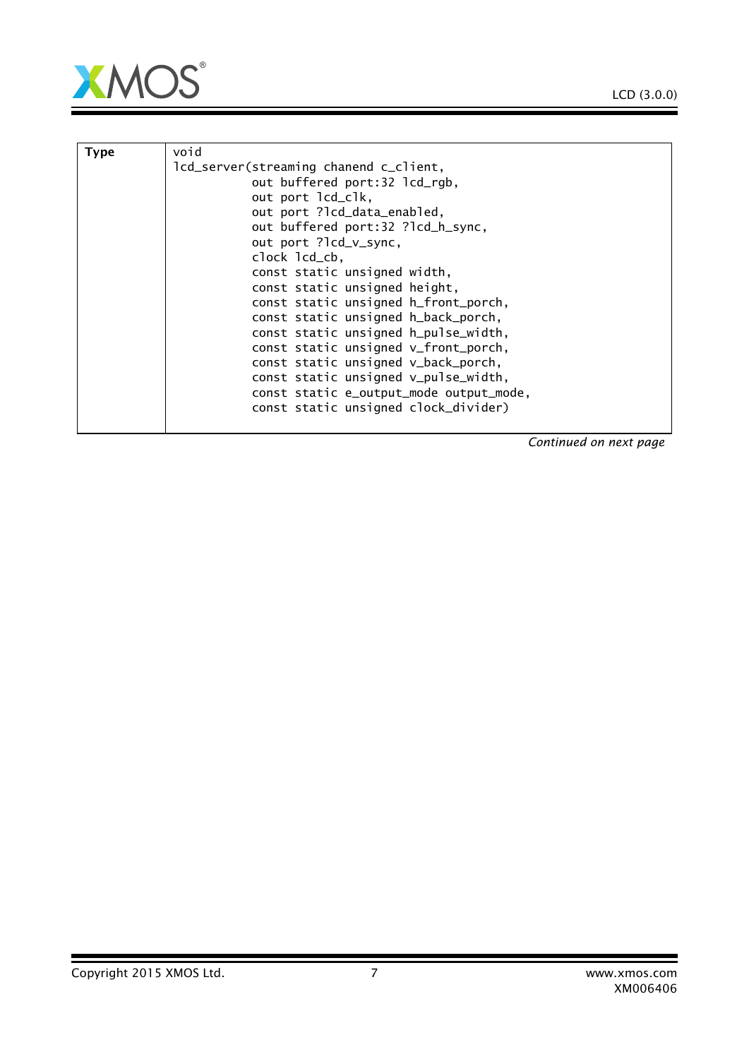

| Type | void                                    |
|------|-----------------------------------------|
|      | lcd_server(streaming chanend c_client,  |
|      | out buffered port:32 lcd_rgb,           |
|      | out port lcd_clk,                       |
|      | out port ?lcd_data_enabled,             |
|      | out buffered port:32 ?lcd_h_sync,       |
|      | out port ?lcd_v_sync,                   |
|      | clock lcd_cb,                           |
|      | const static unsigned width,            |
|      | const static unsigned height,           |
|      | const static unsigned h_front_porch,    |
|      | const static unsigned h_back_porch,     |
|      | const static unsigned h_pulse_width,    |
|      | const static unsigned v_front_porch,    |
|      | const static unsigned v_back_porch,     |
|      | const static unsigned v_pulse_width,    |
|      | const static e_output_mode output_mode, |
|      | const static unsigned clock_divider)    |
|      |                                         |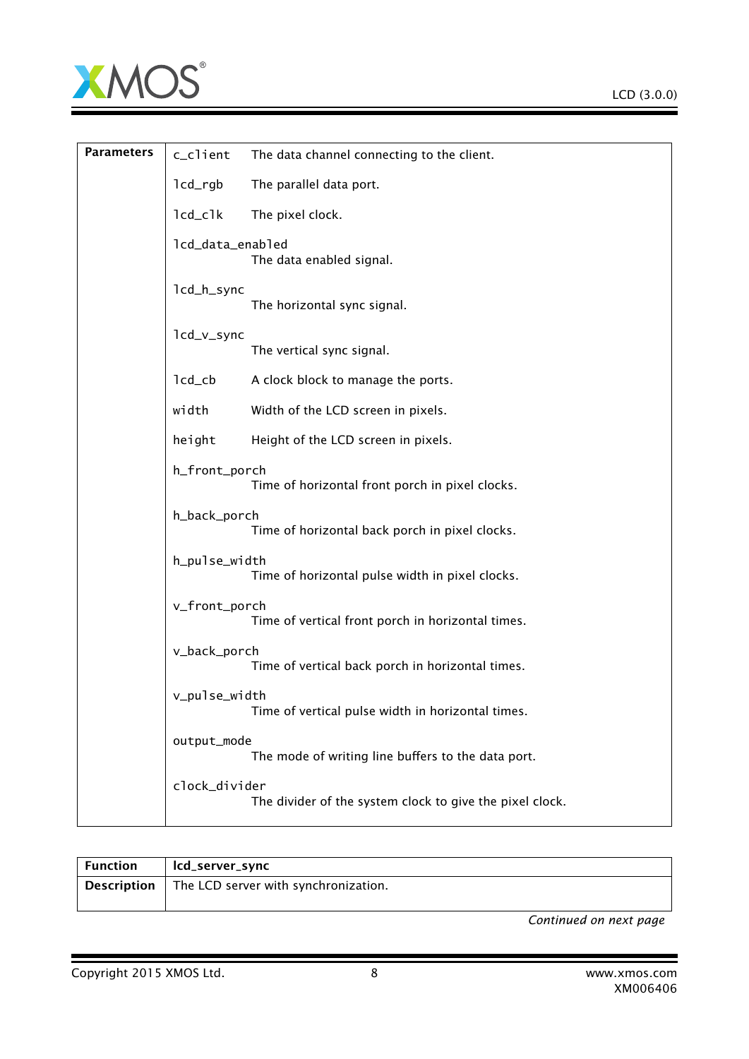

| <b>Parameters</b> | c_client                          | The data channel connecting to the client.               |
|-------------------|-----------------------------------|----------------------------------------------------------|
|                   | $lcd\_rgb$                        | The parallel data port.                                  |
|                   | $lcd_clk$                         | The pixel clock.                                         |
|                   | lcd_data_enabled                  | The data enabled signal.                                 |
|                   | lcd_h_sync                        | The horizontal sync signal.                              |
|                   | lcd_v_sync                        | The vertical sync signal.                                |
|                   | $lcd$ <sub>_<math>cb</math></sub> | A clock block to manage the ports.                       |
|                   | width                             | Width of the LCD screen in pixels.                       |
|                   | height                            | Height of the LCD screen in pixels.                      |
|                   | h_front_porch                     | Time of horizontal front porch in pixel clocks.          |
|                   | h_back_porch                      | Time of horizontal back porch in pixel clocks.           |
|                   | h_pulse_width                     | Time of horizontal pulse width in pixel clocks.          |
|                   | v_front_porch                     | Time of vertical front porch in horizontal times.        |
|                   | v_back_porch                      | Time of vertical back porch in horizontal times.         |
|                   | v_pulse_width                     | Time of vertical pulse width in horizontal times.        |
|                   | output_mode                       | The mode of writing line buffers to the data port.       |
|                   | clock_divider                     | The divider of the system clock to give the pixel clock. |

| Function | lcd_server_sync                                         |
|----------|---------------------------------------------------------|
|          | <b>Description</b> The LCD server with synchronization. |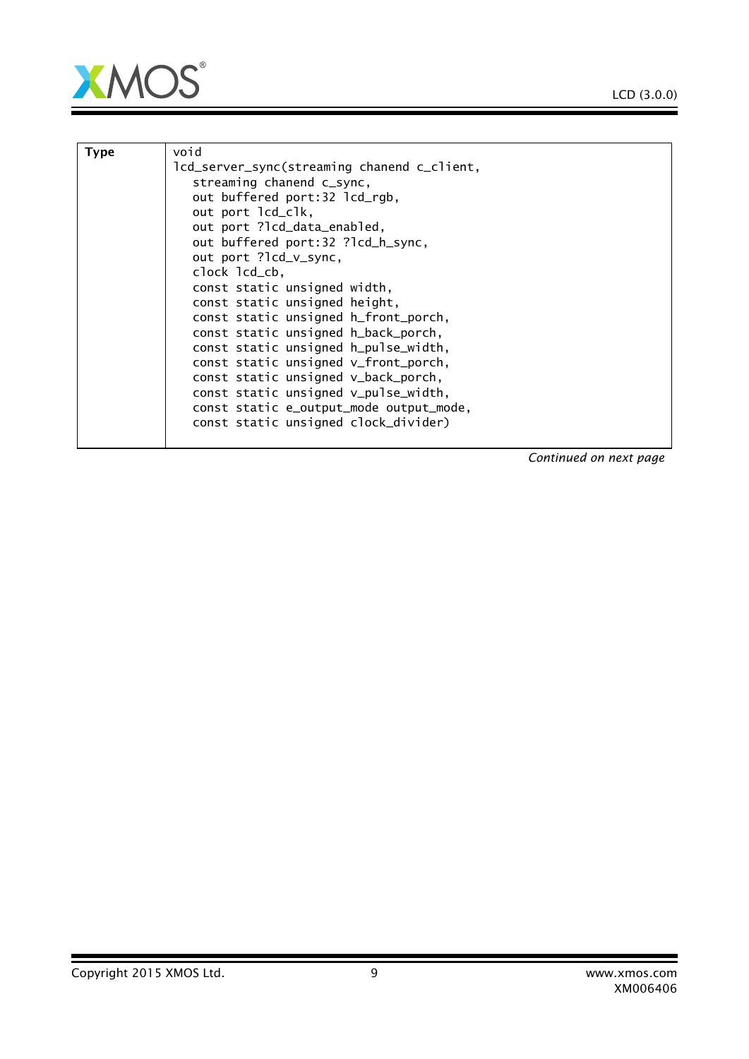Ξ



| <b>Type</b> | void                                        |
|-------------|---------------------------------------------|
|             | lcd_server_sync(streaming chanend c_client, |
|             | streaming chanend c_sync,                   |
|             | out buffered port:32 lcd_rgb,               |
|             | out port lcd_clk,                           |
|             | out port ?lcd_data_enabled,                 |
|             | out buffered port:32 ?lcd_h_sync,           |
|             | out port ?lcd_v_sync,                       |
|             | clock lcd_cb,                               |
|             | const static unsigned width,                |
|             | const static unsigned height,               |
|             | const static unsigned h_front_porch,        |
|             | const static unsigned h_back_porch,         |
|             |                                             |
|             | const static unsigned h_pulse_width,        |
|             | const static unsigned v_front_porch,        |
|             | const static unsigned v_back_porch,         |
|             | const static unsigned v_pulse_width,        |
|             | const static e_output_mode output_mode,     |
|             | const static unsigned clock_divider)        |
|             |                                             |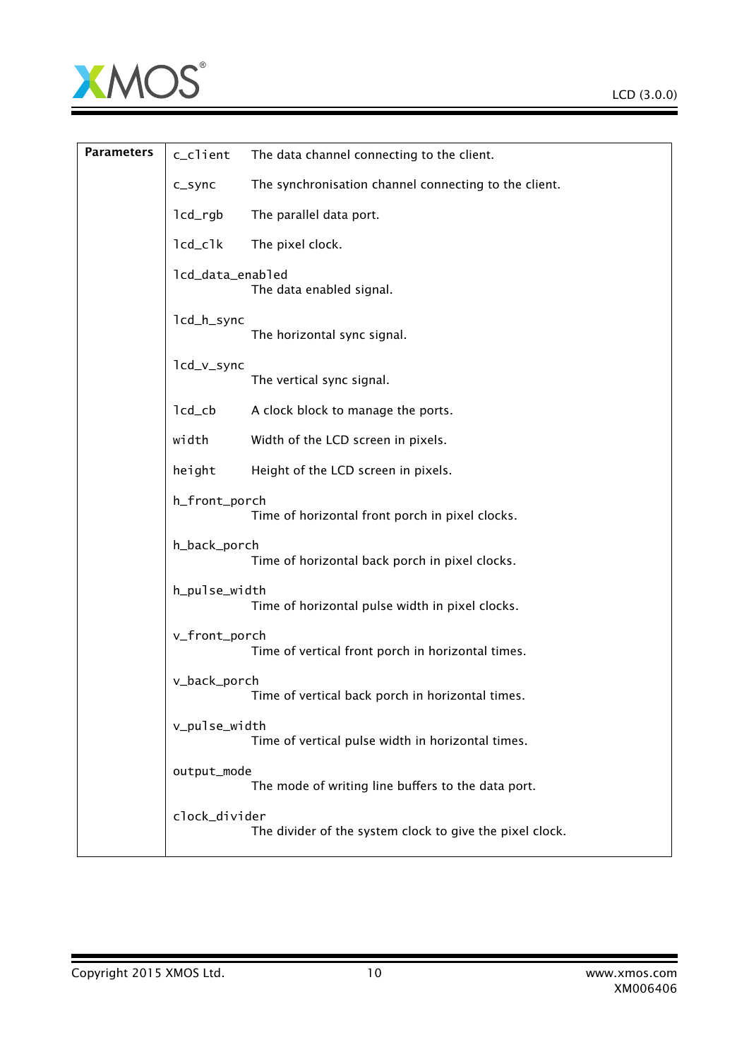

Ξ

| <b>Parameters</b> | c_client                          | The data channel connecting to the client.               |
|-------------------|-----------------------------------|----------------------------------------------------------|
|                   | c_sync                            | The synchronisation channel connecting to the client.    |
|                   | $lcd\_rgb$                        | The parallel data port.                                  |
|                   | $lcd_clk$                         | The pixel clock.                                         |
|                   | lcd_data_enabled                  | The data enabled signal.                                 |
|                   | lcd_h_sync                        | The horizontal sync signal.                              |
|                   | lcd_v_sync                        | The vertical sync signal.                                |
|                   | $lcd$ <sub>_<math>cb</math></sub> | A clock block to manage the ports.                       |
|                   | width                             | Width of the LCD screen in pixels.                       |
|                   | height                            | Height of the LCD screen in pixels.                      |
|                   | h_front_porch                     | Time of horizontal front porch in pixel clocks.          |
|                   | h_back_porch                      | Time of horizontal back porch in pixel clocks.           |
|                   | h_pulse_width                     | Time of horizontal pulse width in pixel clocks.          |
|                   | v_front_porch                     | Time of vertical front porch in horizontal times.        |
|                   | v_back_porch                      | Time of vertical back porch in horizontal times.         |
|                   | v_pulse_width                     | Time of vertical pulse width in horizontal times.        |
|                   | output_mode                       | The mode of writing line buffers to the data port.       |
|                   | clock_divider                     | The divider of the system clock to give the pixel clock. |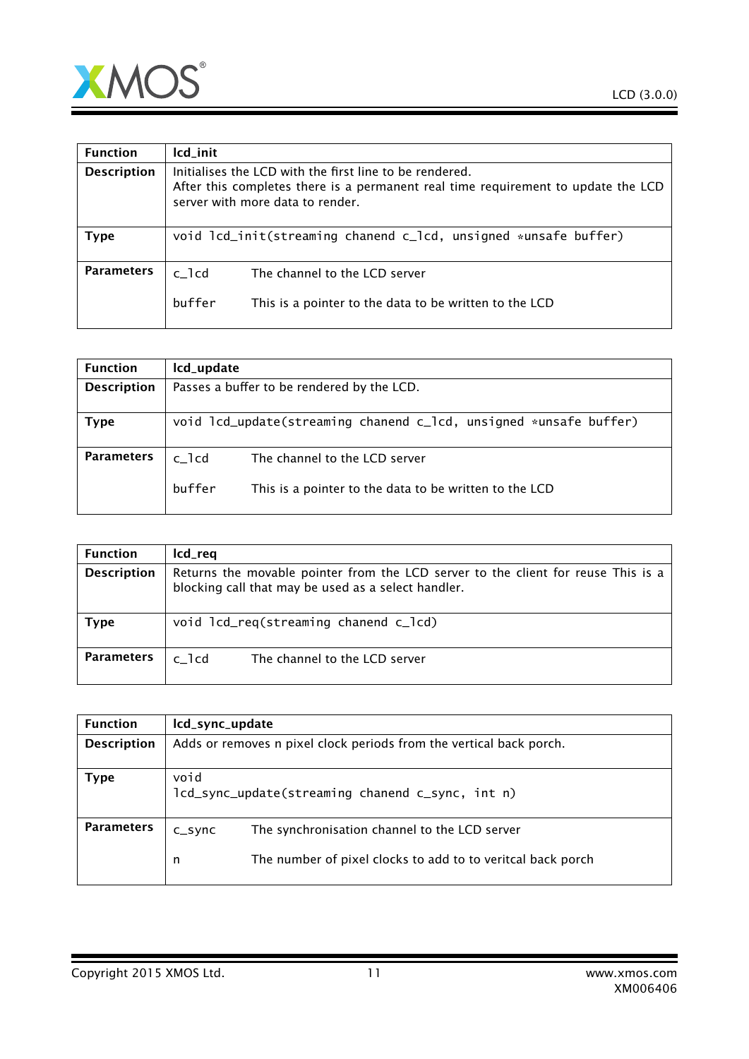

| After this completes there is a permanent real time requirement to update the LCD |
|-----------------------------------------------------------------------------------|
| void lcd_init(streaming chanend c_lcd, unsigned *unsafe buffer)                   |
| This is a pointer to the data to be written to the LCD                            |
|                                                                                   |

| Icd_update                                                        |                                                                                         |  |
|-------------------------------------------------------------------|-----------------------------------------------------------------------------------------|--|
| Passes a buffer to be rendered by the LCD.                        |                                                                                         |  |
| void lcd_update(streaming chanend c_lcd, unsigned *unsafe buffer) |                                                                                         |  |
| $c$ _ $1cd$<br>buffer                                             | The channel to the LCD server<br>This is a pointer to the data to be written to the LCD |  |
|                                                                   |                                                                                         |  |

| <b>Function</b>    | lcd_req                                                                                                                                  |
|--------------------|------------------------------------------------------------------------------------------------------------------------------------------|
| <b>Description</b> | Returns the movable pointer from the LCD server to the client for reuse This is a<br>blocking call that may be used as a select handler. |
| Type               | void lcd_req(streaming chanend c_lcd)                                                                                                    |
| <b>Parameters</b>  | The channel to the LCD server<br>c 1cd                                                                                                   |

| <b>Function</b>    | lcd_sync_update                                                     |                                                             |
|--------------------|---------------------------------------------------------------------|-------------------------------------------------------------|
| <b>Description</b> | Adds or removes n pixel clock periods from the vertical back porch. |                                                             |
| Type               | void<br>lcd_sync_update(streaming chanend c_sync, int n)            |                                                             |
| <b>Parameters</b>  | $C_S$ ync                                                           | The synchronisation channel to the LCD server               |
|                    | n                                                                   | The number of pixel clocks to add to to veritcal back porch |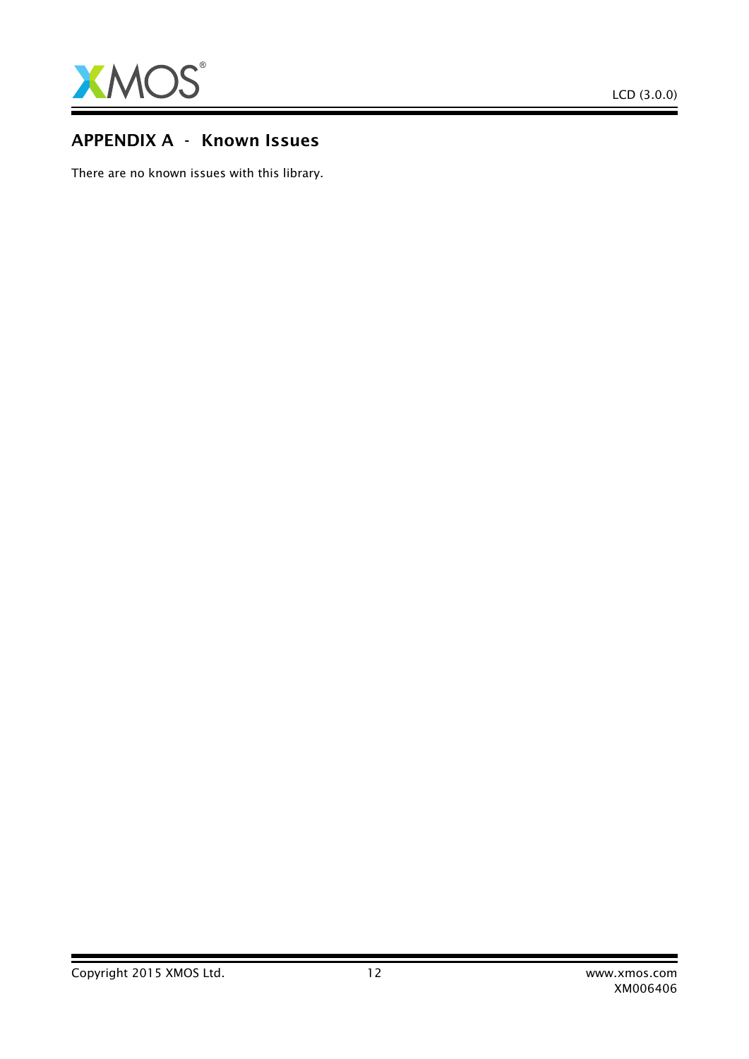

## APPENDIX A - Known Issues

There are no known issues with this library.